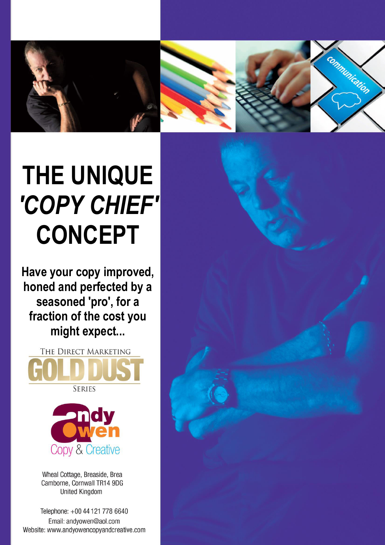

munication

## **THE UNIQUE**  *'COPY CHIEF'* **CONCEPT**

**Have your copy improved, honed and perfected by a seasoned 'pro', for a fraction of the cost you might expect...** 





Wheal Cottage, Breaside, Brea Camborne, Cornwall TR14 9DG **United Kingdom** 

Telephone: +00 44 121 778 6640 Email: andvowen@aol.com Website: www.andyowencopyandcreative.com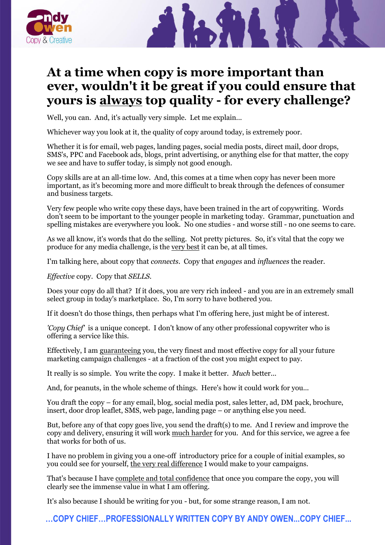

## **At a time when copy is more important than ever, wouldn't it be great if you could ensure that yours is always top quality - for every challenge?**

Well, you can. And, it's actually very simple. Let me explain...

Whichever way you look at it, the quality of copy around today, is extremely poor.

Whether it is for email, web pages, landing pages, social media posts, direct mail, door drops, SMS's, PPC and Facebook ads, blogs, print advertising, or anything else for that matter, the copy we see and have to suffer today, is simply not good enough.

Copy skills are at an all-time low. And, this comes at a time when copy has never been more important, as it's becoming more and more difficult to break through the defences of consumer and business targets.

Very few people who write copy these days, have been trained in the art of copywriting. Words don't seem to be important to the younger people in marketing today. Grammar, punctuation and spelling mistakes are everywhere you look. No one studies - and worse still - no one seems to care.

As we all know, it's words that do the selling. Not pretty pictures. So, it's vital that the copy we produce for any media challenge, is the very best it can be, at all times.

I'm talking here, about copy that *connects*. Copy that *engages* and *influences* the reader.

*Effective* copy. Copy that *SELLS.*

Does your copy do all that? If it does, you are very rich indeed - and you are in an extremely small select group in today's marketplace. So, I'm sorry to have bothered you.

If it doesn't do those things, then perhaps what I'm offering here, just might be of interest.

*'Copy Chief'* is a unique concept. I don't know of any other professional copywriter who is offering a service like this.

Effectively, I am guaranteeing you, the very finest and most effective copy for all your future marketing campaign challenges - at a fraction of the cost you might expect to pay.

It really is so simple. You write the copy. I make it better. *Much* better...

And, for peanuts, in the whole scheme of things. Here's how it could work for you...

You draft the copy – for any email, blog, social media post, sales letter, ad, DM pack, brochure, insert, door drop leaflet, SMS, web page, landing page – or anything else you need.

But, before any of that copy goes live, you send the draft(s) to me. And I review and improve the copy and delivery, ensuring it will work much harder for you. And for this service, we agree a fee that works for both of us.

I have no problem in giving you a one-off introductory price for a couple of initial examples, so you could see for yourself, the very real difference I would make to your campaigns.

That's because I have complete and total confidence that once you compare the copy, you will clearly see the immense value in what I am offering.

It's also because I should be writing for you - but, for some strange reason, I am not.

**…COPY CHIEF…PROFESSIONALLY WRITTEN COPY BY ANDY OWEN...COPY CHIEF...**